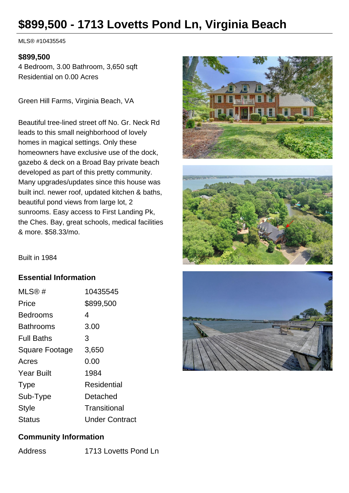# **\$899,500 - 1713 Lovetts Pond Ln, Virginia Beach**

MLS® #10435545

#### **\$899,500**

4 Bedroom, 3.00 Bathroom, 3,650 sqft Residential on 0.00 Acres

Green Hill Farms, Virginia Beach, VA

Beautiful tree-lined street off No. Gr. Neck Rd leads to this small neighborhood of lovely homes in magical settings. Only these homeowners have exclusive use of the dock, gazebo & deck on a Broad Bay private beach developed as part of this pretty community. Many upgrades/updates since this house was built incl. newer roof, updated kitchen & baths, beautiful pond views from large lot, 2 sunrooms. Easy access to First Landing Pk, the Ches. Bay, great schools, medical facilities & more. \$58.33/mo.





#### **Essential Information**

| MLS@#             | 10435545              |
|-------------------|-----------------------|
| Price             | \$899,500             |
| Bedrooms          | 4                     |
| Bathrooms         | 3.00                  |
| <b>Full Baths</b> | 3                     |
| Square Footage    | 3,650                 |
| Acres             | 0.00                  |
| <b>Year Built</b> | 1984                  |
| <b>Type</b>       | Residential           |
| Sub-Type          | Detached              |
| <b>Style</b>      | Transitional          |
| Status            | <b>Under Contract</b> |



#### **Community Information**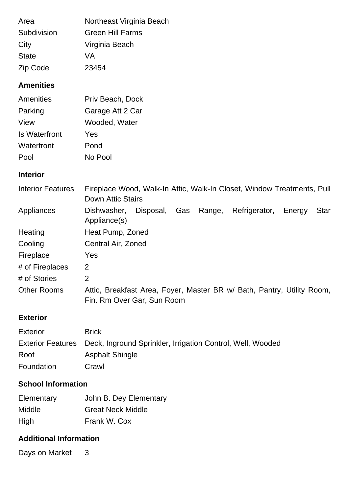| Area         | Northeast Virginia Beach |
|--------------|--------------------------|
| Subdivision  | <b>Green Hill Farms</b>  |
| City         | Virginia Beach           |
| <b>State</b> | VA                       |
| Zip Code     | 23454                    |

## **Amenities**

| Amenities            | Priv Beach, Dock |
|----------------------|------------------|
| Parking              | Garage Att 2 Car |
| View                 | Wooded, Water    |
| <b>Is Waterfront</b> | Yes              |
| Waterfront           | Pond             |
| Pool                 | No Pool          |

## **Interior**

| <b>Interior Features</b> | Fireplace Wood, Walk-In Attic, Walk-In Closet, Window Treatments, Pull<br>Down Attic Stairs          |
|--------------------------|------------------------------------------------------------------------------------------------------|
| Appliances               | Gas Range,<br>Disposal,<br>Refrigerator,<br>Dishwasher,<br>Star<br>Energy<br>Appliance(s)            |
| Heating                  | Heat Pump, Zoned                                                                                     |
| Cooling                  | Central Air, Zoned                                                                                   |
| Fireplace                | Yes                                                                                                  |
| # of Fireplaces          | 2                                                                                                    |
| # of Stories             | 2                                                                                                    |
| <b>Other Rooms</b>       | Attic, Breakfast Area, Foyer, Master BR w/ Bath, Pantry, Utility Room,<br>Fin. Rm Over Gar, Sun Room |

## **Exterior**

| <b>Exterior</b> | <b>Brick</b>                                                                 |
|-----------------|------------------------------------------------------------------------------|
|                 | Exterior Features Deck, Inground Sprinkler, Irrigation Control, Well, Wooded |
| Roof            | <b>Asphalt Shingle</b>                                                       |
| Foundation      | Crawl                                                                        |

# **School Information**

| Elementary    | John B. Dey Elementary   |
|---------------|--------------------------|
| <b>Middle</b> | <b>Great Neck Middle</b> |
| High          | Frank W. Cox             |

## **Additional Information**

Days on Market 3